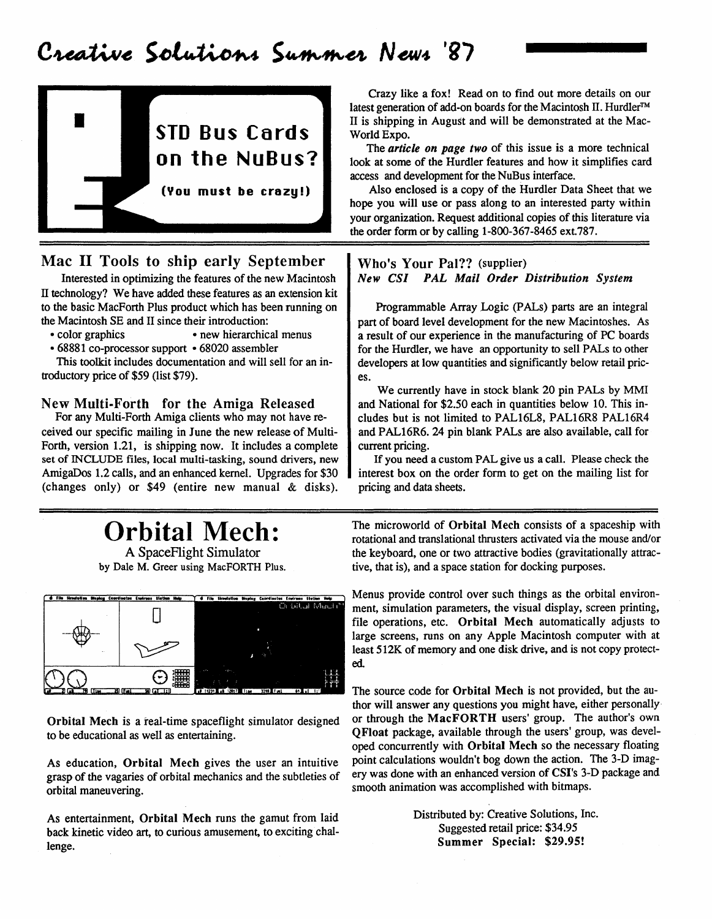### Creative Solutions Summer News '87



#### Mac II Tools to ship early September

Interested in optimizing the features of the new Macintosh IT technology? We have added these features as an extension kit to the basic MacForth Plus product which has been running on the Macintosh SE and II since their introduction:

- color graphics new hierarchical menus
- 68881 co-processor support 68020 assembler

This toolkit includes documentation and will sell for an introductory price of \$59 (list \$79).

#### New Multi-Forth for the Amiga Released

For any Multi-Forth Amiga clients who may not have received our specific mailing in June the new release of Multi-Forth, version 1.21, is shipping now. It includes a complete set of INCLUDE files, local multi-tasking, sound drivers, new AmigaDos 1.2 calls, and an enhanced kernel. Upgrades for \$30 (changes only) or \$49 (entire new manual & disks).

# Orbital Mech:

A SpaceFlight Simulator by Dale M. Greer using MacFORTH Plus.



Orbital Mech is a real-time spaceflight simulator designed to be educational as well as entertaining.

As education, Orbital Mech gives the user an intuitive grasp of the vagaries of orbital mechanics and the subtleties of orbital maneuvering.

As entertainment, Orbital Mech runs the gamut from laid back kinetic video art, to curious amusement, to exciting challenge.

Crazy like a fox! Read on to find out more details on our latest generation of add-on boards for the Macintosh IT. Hurdler™ II is shipping in August and will be demonstrated at the Mac-World Expo.

The *article on page two* of this issue is a more technical look at some of the Hurdler features and how it simplifies card access and development for the NuBus interface.

Also enclosed is a copy of the Hurdler Data Sheet that we hope you will use or pass along to an interested party within your organization. Request additional copies of this literature via the order form or by calling 1-800-367-8465 ext. 787.

#### Who's Your Pal?? (supplier) *New CSI PAL Mail Order Distribution System*

Programmable Array.Logic (PALs) parts are an integral part of board level development for the new Macintoshes. As a result of our experience in the manufacturing of PC boards for the Hurdler, we have an opportunity to sell PALs to other developers at low quantities and significantly below retail prices.

We currently have in stock blank 20 pin PALs by MMI and National for \$2.50 each in quantities below 10. This includes but is not limited to PAL16L8, PAL16R8 PAL16R4 and PAL16R6. 24 pin blank PALs are also available, call for current pricing.

If you need a custom PAL give us a call. Please check the interest box on the order form to get on the mailing list for pricing and data sheets.

The microworld of Orbital Mech consists of a spaceship with rotational and translational thrusters activated via the mouse and/or the keyboard, one or two attractive bodies (gravitationally attractive, that is), and a space station for docking purposes.

Menus provide control over such things as the orbital environment, simulation parameters, the visual display, screen printing, file operations, etc. Orbital Mech automatically adjusts to large screens, runs on any Apple Macintosh computer with at least 512K of memory and one disk drive, and is not copy protected.

The source code for Orbital Mech is not provided, but the author will answer any questions you might have, either personally' or through the MacFORTH users' group. The author's own QFloat package, available through the users' group, was developed concurrently with Orbital Mech so the necessary floating point calculations wouldn't bog down the action. The 3-D imagery was done with an enhanced version of CSI's 3-D package and smooth animation was accomplished with bitmaps.

> Distributed by: Creative Solutions, Inc. Suggested retail price: \$34.95 Summer Special: \$29.95!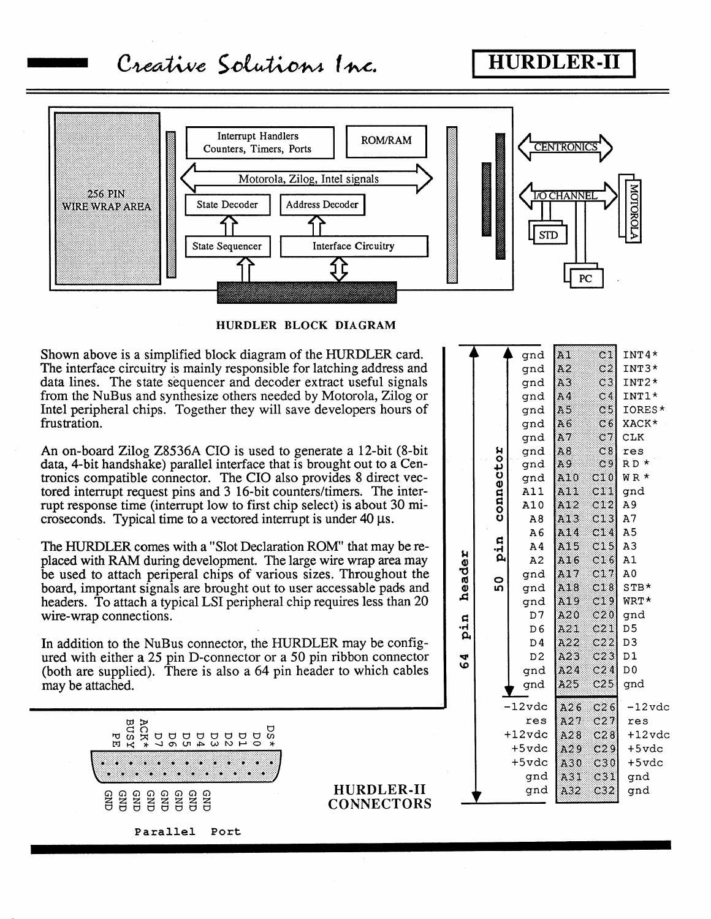### Creative Solutions Inc.

### **HURDLER-II**



HURDLER BLOCK DIAGRAM

Shown above is a simplified block diagram of the HURDLER card. The interface circuitry is mainly responsible for latching address and data lines. The state sequencer and decoder extract useful signals from the NuBus and synthesize others needed by Motorola, Zilog or Intel peripheral chips. Together they will save developers hours of frustration.

An on-board Zilog Z8536A CIO is used to generate a 12-bit (8-bit) data, 4-bit handshake) parallel interface that is brought out to a Centronics compatible connector. The CIO also provides 8 direct vectored interrupt request pins and 3 16-bit counters/timers. The interrupt response time (interrupt low to first chip select) is about 30 microseconds. Typical time to a vectored interrupt is under  $40 \mu s$ .

The HURDLER comes with a "Slot Declaration ROM" that may be replaced with RAM during development. The large wire wrap area may be used to attach periperal chips of various sizes. Throughout the board, important signals are brought out to user accessable pads and headers. To attach a typical LSI peripheral chip requires less than 20 wire-wrap connections.

In addition to the NuBus connector, the HURDLER may be configured with either a 25 pin D-connector or a 50 pin ribbon connector (both are supplied). There is also a 64 pin header to which cables may be attached.



Parallel Port

HURDLER-II **CONNECTORS** 

|                  |           | gnd            | A1         | C(1)             | $INT4*$        |
|------------------|-----------|----------------|------------|------------------|----------------|
|                  |           | gnd            | A2         | C <sub>2</sub>   | $INT3*$        |
|                  |           | gnd            | A3         | C3               | $INT2*$        |
|                  |           | gnd            | A4         | C <sub>4</sub>   | $INT1*$        |
|                  |           | gnd            | A5         | C5               | IORES*         |
|                  |           | gnd            | A 6        | C6               | XACK*          |
|                  |           | gnd            | A7         | C7               | CLK            |
|                  |           | gnd            | A8         | C8               | res            |
|                  | connector | gnd            | A9         | C <sub>9</sub>   | $RD$ $*$       |
|                  |           | gnd            | A10        | C10              | WR*            |
|                  |           | A11            | A11        | C11              | gnd            |
|                  |           | A10            | A12        | C12              | A9             |
|                  |           | A8             | A13        | C1.3             | А7             |
|                  | pin<br>50 | A <sub>6</sub> | A14        | C14              | A5             |
|                  |           | A <sub>4</sub> | A15        | C15              | A3             |
|                  |           | A2             | A16        | C16              | A1             |
|                  |           | gnd            | A17        | C17              | A0             |
| header<br>64 pin |           | gnd            | A18        | C18              | $STB*$         |
|                  |           | gnd            | A19        | C19              | WRT*           |
|                  |           | D7             | A20        | C20              | gnd            |
|                  |           | D <sub>6</sub> | A21        | C21              | D <sub>5</sub> |
|                  |           | D4             | A22        | C22              | D <sub>3</sub> |
|                  |           | D <sub>2</sub> | A23        | C23              | D1             |
|                  |           | gnd            | A24        | C24              | D <sub>0</sub> |
|                  | gnd       |                | A25        | C25              | gnd            |
|                  |           | $-12$ vdc      | A26        | C26              | $-12$ vdc      |
|                  |           | res            | A27        | C <sub>2</sub> 7 | res            |
|                  |           | $+12$ vdc      | A28        | C28              | $+12$ vdc      |
|                  |           | +5vdc          | A29        | C29              | $+5$ vdc       |
|                  |           | $+5$ vdc       | A30        | C30              | $+5$ vdc       |
|                  | gnd       |                |            | C31              | gnd            |
|                  |           | gnd            | A31<br>A32 | C32              | gnd            |
|                  |           |                |            |                  |                |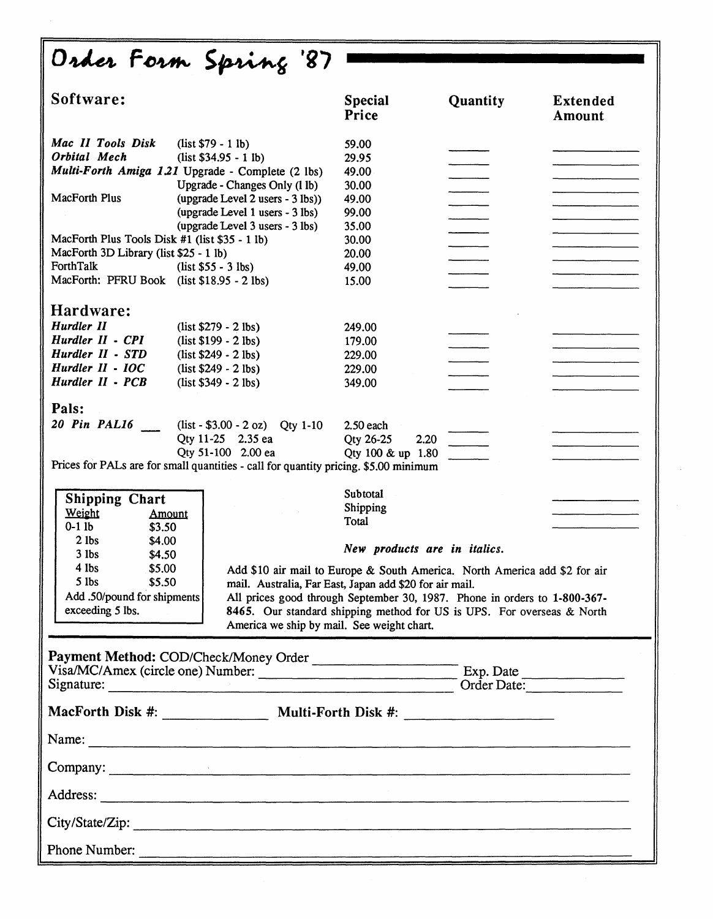| Order Form Spring '87                                                                                                                                                                                                                                                                                                                                                            |                                                                                                                                                                                                                                                                                                                                               |                                                                                                                                                                                                                                                                                              |                                                                                                                |                           |  |  |  |  |
|----------------------------------------------------------------------------------------------------------------------------------------------------------------------------------------------------------------------------------------------------------------------------------------------------------------------------------------------------------------------------------|-----------------------------------------------------------------------------------------------------------------------------------------------------------------------------------------------------------------------------------------------------------------------------------------------------------------------------------------------|----------------------------------------------------------------------------------------------------------------------------------------------------------------------------------------------------------------------------------------------------------------------------------------------|----------------------------------------------------------------------------------------------------------------|---------------------------|--|--|--|--|
| Software:                                                                                                                                                                                                                                                                                                                                                                        |                                                                                                                                                                                                                                                                                                                                               | <b>Special</b><br>Price                                                                                                                                                                                                                                                                      | Quantity                                                                                                       | <b>Extended</b><br>Amount |  |  |  |  |
| Mac II Tools Disk<br>Orbital Mech<br>Multi-Forth Amiga 1.21 Upgrade - Complete (2 lbs)<br><b>MacForth Plus</b><br>MacForth Plus Tools Disk #1 (list \$35 - 1 lb)<br>MacForth 3D Library (list \$25 - 1 lb)<br>ForthTalk<br>MacForth: PFRU Book (list \$18.95 - 2 lbs)<br>Hardware:<br>Hurdler II<br>Hurdler II - CPI<br>Hurdler II - STD<br>Hurdler II - IOC<br>Hurdler II - PCB | $(list $79 - 1 lb)$<br>$(list $34.95 - 1 lb)$<br>Upgrade - Changes Only (1 lb)<br>(upgrade Level 2 users - 3 lbs))<br>(upgrade Level 1 users - 3 lbs)<br>(upgrade Level 3 users - 3 lbs)<br>$(list $55 - 3 lbs)$<br>$(list $279 - 2 lbs)$<br>$(list $199 - 2 lbs)$<br>$(list $249 - 2 lbs)$<br>$(list $249 - 2 lbs)$<br>$(list $349 - 2 lbs)$ | 59.00<br>29.95<br>49.00<br>30.00<br>49.00<br>99.00<br>35.00<br>30.00<br>20.00<br>49.00<br>15.00<br>249.00<br>179.00<br>229.00<br>229.00<br>349.00                                                                                                                                            |                                                                                                                |                           |  |  |  |  |
| Pals:<br>20 Pin PAL16<br>Prices for PALs are for small quantities - call for quantity pricing. \$5.00 minimum<br><b>Shipping Chart</b><br>Weight<br>Amount<br>$0-1$ lb<br>\$3.50<br>$2$ lbs<br>\$4.00<br>$3$ lbs<br>\$4.50                                                                                                                                                       | $(list - $3.00 - 2 oz)$ Qty 1-10<br>Qty 11-25 2.35 ea<br>Qty 51-100 2.00 ea                                                                                                                                                                                                                                                                   | $2.50$ each<br>Qty 26-25<br>2.20<br>Qty 100 & up 1.80<br>Subtotal<br>Shipping<br>Total<br>New products are in italics.                                                                                                                                                                       |                                                                                                                |                           |  |  |  |  |
| $4$ lbs<br>\$5.00<br>$5$ lbs<br>\$5.50<br>Add .50/pound for shipments<br>exceeding 5 lbs.                                                                                                                                                                                                                                                                                        | America we ship by mail. See weight chart.                                                                                                                                                                                                                                                                                                    | Add \$10 air mail to Europe & South America. North America add \$2 for air<br>mail. Australia, Far East, Japan add \$20 for air mail.<br>All prices good through September 30, 1987. Phone in orders to 1-800-367-<br>8465. Our standard shipping method for US is UPS. For overseas & North |                                                                                                                |                           |  |  |  |  |
|                                                                                                                                                                                                                                                                                                                                                                                  |                                                                                                                                                                                                                                                                                                                                               |                                                                                                                                                                                                                                                                                              | Payment Method: COD/Check/Money Order<br>Visa/MC/Amex (circle one) Number: Exp. Date<br>Signature: Order Date: |                           |  |  |  |  |
| MacForth Disk #: ____________________ Multi-Forth Disk #: ______________________                                                                                                                                                                                                                                                                                                 |                                                                                                                                                                                                                                                                                                                                               |                                                                                                                                                                                                                                                                                              |                                                                                                                |                           |  |  |  |  |
|                                                                                                                                                                                                                                                                                                                                                                                  |                                                                                                                                                                                                                                                                                                                                               |                                                                                                                                                                                                                                                                                              |                                                                                                                |                           |  |  |  |  |
|                                                                                                                                                                                                                                                                                                                                                                                  |                                                                                                                                                                                                                                                                                                                                               |                                                                                                                                                                                                                                                                                              |                                                                                                                |                           |  |  |  |  |
| $\sim 10^{-10}$                                                                                                                                                                                                                                                                                                                                                                  |                                                                                                                                                                                                                                                                                                                                               |                                                                                                                                                                                                                                                                                              |                                                                                                                |                           |  |  |  |  |
| City/State/Zip:                                                                                                                                                                                                                                                                                                                                                                  |                                                                                                                                                                                                                                                                                                                                               |                                                                                                                                                                                                                                                                                              |                                                                                                                |                           |  |  |  |  |
| Phone Number:                                                                                                                                                                                                                                                                                                                                                                    |                                                                                                                                                                                                                                                                                                                                               |                                                                                                                                                                                                                                                                                              |                                                                                                                |                           |  |  |  |  |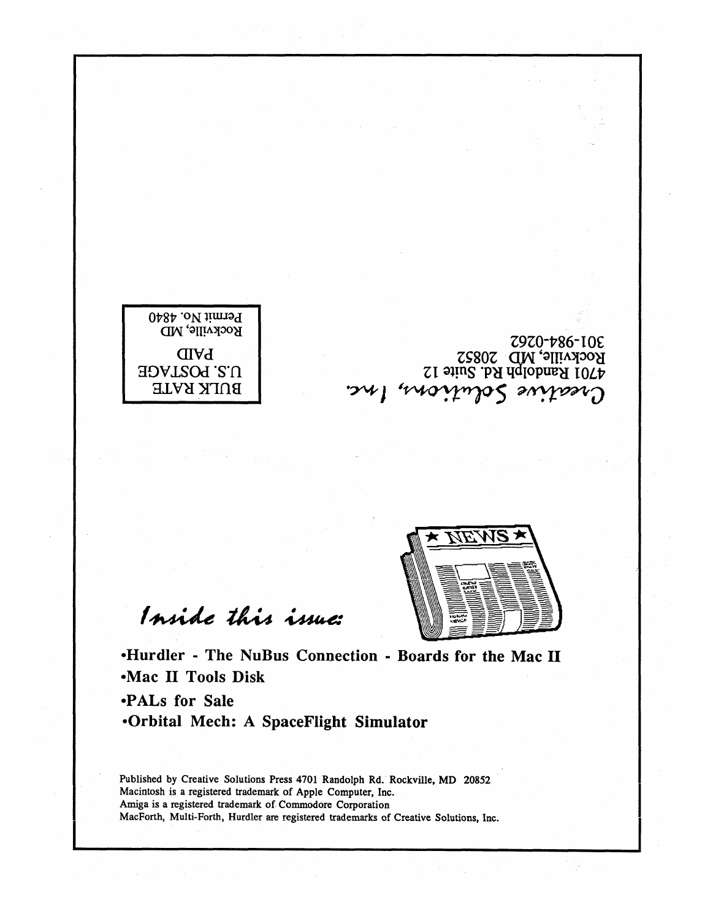



Creative Solutions, Inc.

Z9Z0-P86-I OE

Rockville, MD 20852 ZI ~l!ns .p~ lIdlOPtm~ *IOLP* 

Inside this issue:

-Hurdler - The NuBus Connection - Boards for the Mac II -Mac II Tools Disk

-PALs for Sale -Orbital Mech: A SpaceFlight Simulator

Published by Creative Solutions Press 4701 Randolph Rd. Rockville, MD 20852 Macintosh is a registered trademark of Apple Computer, Inc. Amiga is a registered trademark of Commodore Corporation MacForth, Multi-Forth, Hurdler are registered trademarks of Creative Solutions, Inc.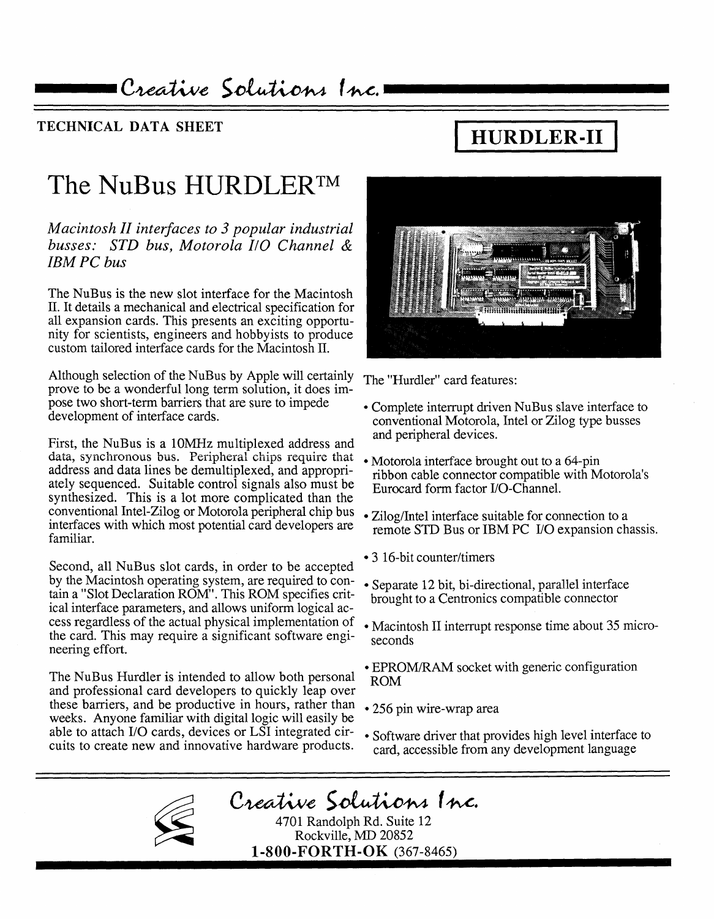Creative Solutions Inc.1

#### TECHNICAL DATA SHEET

# **HURDLER-II**

## The NuBus HURDLERTM

*Macintosh II interfaces to* 3 *popular industrial busses: STD bus, Motorola I/O Channel* & *IBM PC bus* 

The NuBus is the new slot interface for the Macintosh II. It details a mechanical and electrical specification for all expansion cards. This presents an exciting opportunity for scientists, engineers and hobbyists to produce custom tailored interface cards for the Macintosh II.

Although selection of the NuBus by Apple will certainly The "Hurdler" card features: prove to be a wonderful long term solution, it does impose two short-term barriers that are sure to impede development of interface cards.

First, the NuBus is a 10MHz multiplexed address and data, synchronous bus. Peripheral chips require that address and data lines be demultiplexed, and appropriately sequenced. Suitable control signals also must be synthesized. This is a lot more complicated than the conventional Intel-Zilog or Motorola peripheral chip bus interfaces with which most potential card developers are familiar.

Second, all NuBus slot cards, in order to be accepted by the Macintosh operating system, are required to contain a "Slot Declaration ROM". This ROM specifies critical interface parameters, and allows uniform logical access regardless of the actual physical implementation of the card. This may require a significant software engineering effort.

The NuBus Hurdler is intended to allow both personal and professional card developers to quickly leap over these barriers, and be productive in hours, rather than weeks. Anyone familiar with digital logic will easily be able to attach I/O cards, devices or LSI integrated circuits to create new and innovative hardware products.



- Complete interrupt driven NuBus slave interface to conventional Motorola, Intel or Zilog type busses and peripheral devices.
- Motorola interface brought out to a 64-pin ribbon cable connector compatible with Motorola's Eurocard form factor I/O-Channel.
- Zilog/Intel interface suitable for connection to a remote SID Bus or IBM PC I/O expansion chassis.
- 3 16-bit counter/timers
- Separate 12 bit, bi-directional, parallel interface brought to a Centronics compatible connector
- Macintosh II interrupt response time about 35 microseconds
- EPROM/RAM socket with generic configuration ROM
- 256 pin wire-wrap area
- Software driver that provides high level interface to card, accessible from any development language

Creative Solutions Inc.

4701 Randolph Rd. Suite 12 Rockville, MD 20852 1-800-FORTH-OK (367-8465)